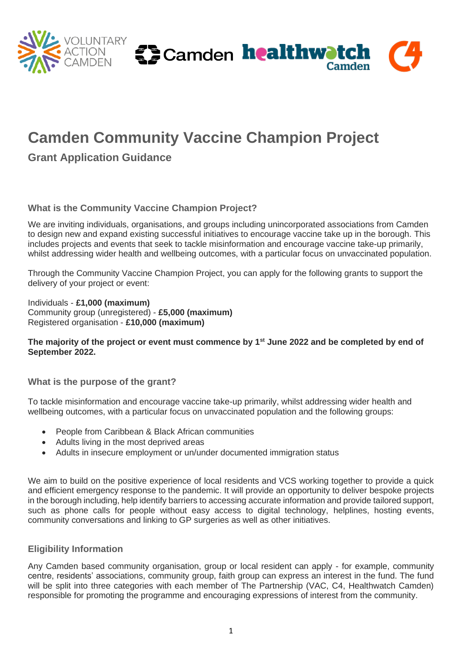

# **Camden Community Vaccine Champion Project**

**Grant Application Guidance**

## **What is the Community Vaccine Champion Project?**

We are inviting individuals, organisations, and groups including unincorporated associations from Camden to design new and expand existing successful initiatives to encourage vaccine take up in the borough. This includes projects and events that seek to tackle misinformation and encourage vaccine take-up primarily, whilst addressing wider health and wellbeing outcomes, with a particular focus on unvaccinated population.

Through the Community Vaccine Champion Project, you can apply for the following grants to support the delivery of your project or event:

Individuals - **£1,000 (maximum)**  Community group (unregistered) - **£5,000 (maximum)** Registered organisation - **£10,000 (maximum)**

#### **The majority of the project or event must commence by 1st June 2022 and be completed by end of September 2022.**

**What is the purpose of the grant?**

To tackle misinformation and encourage vaccine take-up primarily, whilst addressing wider health and wellbeing outcomes, with a particular focus on unvaccinated population and the following groups:

- People from Caribbean & Black African communities
- Adults living in the most deprived areas
- Adults in insecure employment or un/under documented immigration status

We aim to build on the positive experience of local residents and VCS working together to provide a quick and efficient emergency response to the pandemic. It will provide an opportunity to deliver bespoke projects in the borough including, help identify barriers to accessing accurate information and provide tailored support, such as phone calls for people without easy access to digital technology, helplines, hosting events, community conversations and linking to GP surgeries as well as other initiatives.

## **Eligibility Information**

Any Camden based community organisation, group or local resident can apply - for example, community centre, residents' associations, community group, faith group can express an interest in the fund. The fund will be split into three categories with each member of The Partnership (VAC, C4, Healthwatch Camden) responsible for promoting the programme and encouraging expressions of interest from the community.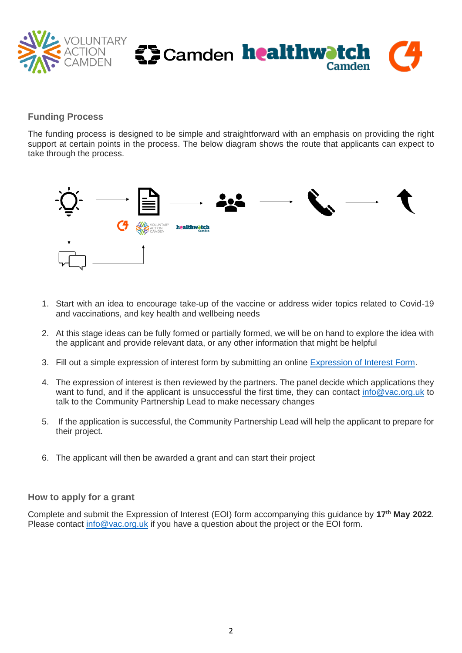

## **Funding Process**

The funding process is designed to be simple and straightforward with an emphasis on providing the right support at certain points in the process. The below diagram shows the route that applicants can expect to take through the process.



- 1. Start with an idea to encourage take-up of the vaccine or address wider topics related to Covid-19 and vaccinations, and key health and wellbeing needs
- 2. At this stage ideas can be fully formed or partially formed, we will be on hand to explore the idea with the applicant and provide relevant data, or any other information that might be helpful
- 3. Fill out a simple expression of interest form by submitting an online [Expression of Interest Form.](https://www.tfaforms.com/4978162)
- 4. The expression of interest is then reviewed by the partners. The panel decide which applications they want to fund, and if the applicant is unsuccessful the first time, they can contact [info@vac.org.uk](mailto:info@vac.org.uk) to talk to the Community Partnership Lead to make necessary changes
- 5. If the application is successful, the Community Partnership Lead will help the applicant to prepare for their project.
- 6. The applicant will then be awarded a grant and can start their project

#### **How to apply for a grant**

Complete and submit the Expression of Interest (EOI) form accompanying this guidance by **17th May 2022**. Please contact [info@vac.org.uk](mailto:info@vac.org.uk) if you have a question about the project or the EOI form.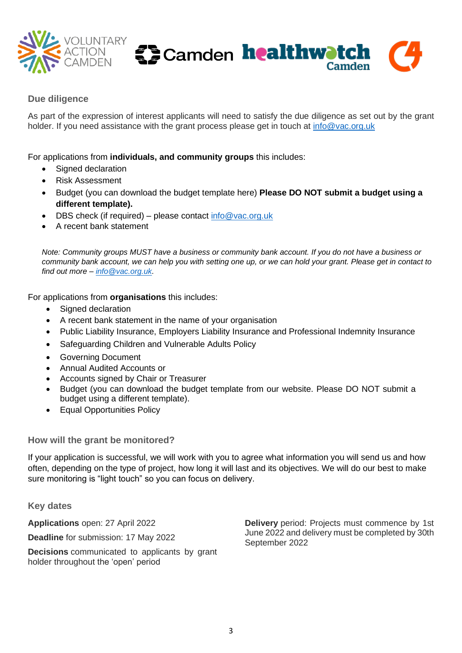



## **Due diligence**

As part of the expression of interest applicants will need to satisfy the due diligence as set out by the grant holder. If you need assistance with the grant process please get in touch at [info@vac.org.uk](mailto:info@vac.org.uk)

For applications from **individuals, and community groups** this includes:

- Signed declaration
- Risk Assessment
- Budget (you can download the budget template here) **Please DO NOT submit a budget using a different template).**
- DBS check (if required) please contact info@vac.org.uk
- A recent bank statement

*Note: Community groups MUST have a business or community bank account. If you do not have a business or community bank account, we can help you with setting one up, or we can hold your grant. Please get in contact to find out more – [info@vac.org.uk.](mailto:info@vac.org.uk)* 

For applications from **organisations** this includes:

- Signed declaration
- A recent bank statement in the name of your organisation
- Public Liability Insurance, Employers Liability Insurance and Professional Indemnity Insurance
- Safeguarding Children and Vulnerable Adults Policy
- Governing Document
- Annual Audited Accounts or
- Accounts signed by Chair or Treasurer
- Budget (you can download the budget template from our website. Please DO NOT submit a budget using a different template).
- Equal Opportunities Policy

**How will the grant be monitored?**

If your application is successful, we will work with you to agree what information you will send us and how often, depending on the type of project, how long it will last and its objectives. We will do our best to make sure monitoring is "light touch" so you can focus on delivery.

**Key dates**

**Applications** open: 27 April 2022 **Deadline** for submission: 17 May 2022

**Decisions** communicated to applicants by grant holder throughout the 'open' period

**Delivery** period: Projects must commence by 1st June 2022 and delivery must be completed by 30th September 2022